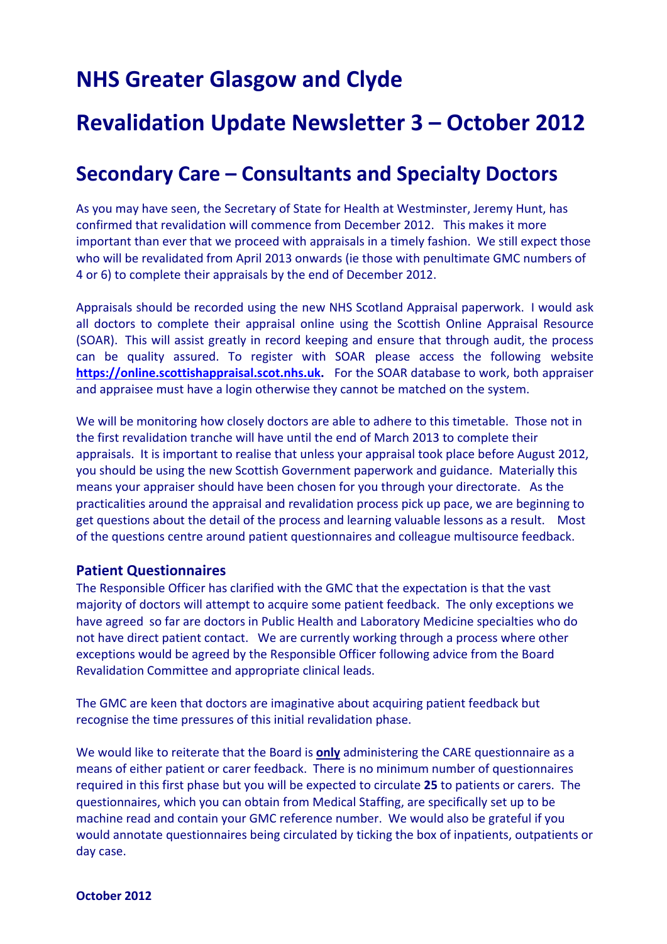# **NHS Greater Glasgow and Clyde**

## **Revalidation Update Newsletter 3 – October 2012**

### **Secondary Care – Consultants and Specialty Doctors**

As you may have seen, the Secretary of State for Health at Westminster, Jeremy Hunt, has confirmed that revalidation will commence from December 2012. This makes it more important than ever that we proceed with appraisals in a timely fashion. We still expect those who will be revalidated from April 2013 onwards (ie those with penultimate GMC numbers of 4 or 6) to complete their appraisals by the end of December 2012.

Appraisals should be recorded using the new NHS Scotland Appraisal paperwork. I would ask all doctors to complete their appraisal online using the Scottish Online Appraisal Resource (SOAR). This will assist greatly in record keeping and ensure that through audit, the process can be quality assured. To register with SOAR please access the following website **[https://online.scottishappraisal.scot.nhs.uk](https://online.scottishappraisal.scot.nhs.uk/).** For the SOAR database to work, both appraiser and appraisee must have a login otherwise they cannot be matched on the system.

We will be monitoring how closely doctors are able to adhere to this timetable. Those not in the first revalidation tranche will have until the end of March 2013 to complete their appraisals. It is important to realise that unless your appraisal took place before August 2012, you should be using the new Scottish Government paperwork and guidance. Materially this means your appraiser should have been chosen for you through your directorate. As the practicalities around the appraisal and revalidation process pick up pace, we are beginning to get questions about the detail of the process and learning valuable lessons as a result. Most of the questions centre around patient questionnaires and colleague multisource feedback.

#### **Patient Questionnaires**

The Responsible Officer has clarified with the GMC that the expectation is that the vast majority of doctors will attempt to acquire some patient feedback. The only exceptions we have agreed so far are doctors in Public Health and Laboratory Medicine specialties who do not have direct patient contact. We are currently working through a process where other exceptions would be agreed by the Responsible Officer following advice from the Board Revalidation Committee and appropriate clinical leads.

The GMC are keen that doctors are imaginative about acquiring patient feedback but recognise the time pressures of this initial revalidation phase.

We would like to reiterate that the Board is **only** administering the CARE questionnaire as a means of either patient or carer feedback. There is no minimum number of questionnaires required in this first phase but you will be expected to circulate **25** to patients or carers. The questionnaires, which you can obtain from Medical Staffing, are specifically set up to be machine read and contain your GMC reference number. We would also be grateful if you would annotate questionnaires being circulated by ticking the box of inpatients, outpatients or day case.